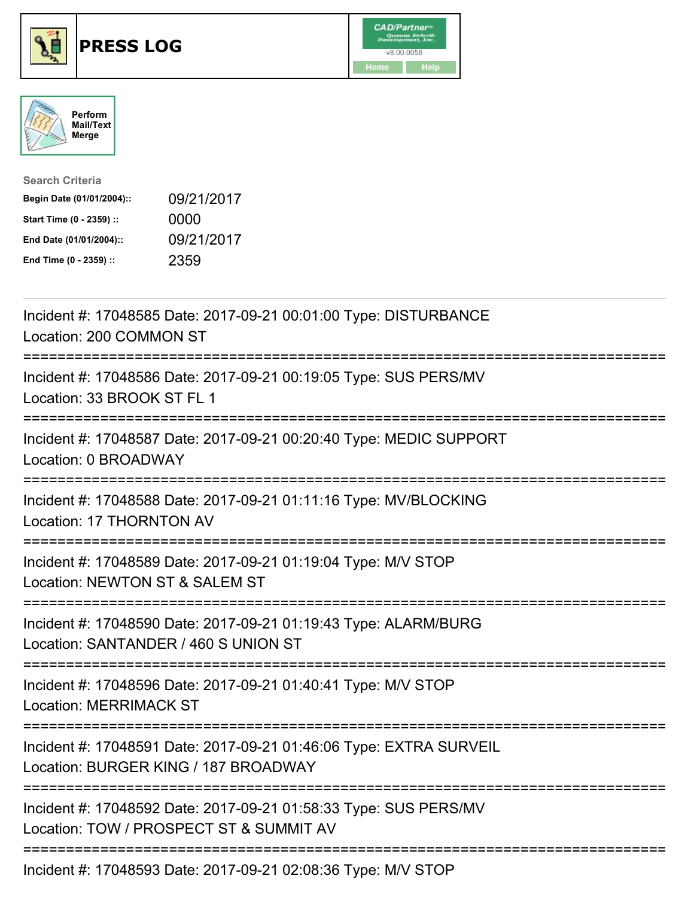





| <b>Search Criteria</b>    |            |
|---------------------------|------------|
| Begin Date (01/01/2004):: | 09/21/2017 |
| Start Time (0 - 2359) ::  | 0000       |
| End Date (01/01/2004)::   | 09/21/2017 |
| End Time (0 - 2359) ::    | 2359       |

| Incident #: 17048585 Date: 2017-09-21 00:01:00 Type: DISTURBANCE<br>Location: 200 COMMON ST<br>==============                                   |
|-------------------------------------------------------------------------------------------------------------------------------------------------|
| Incident #: 17048586 Date: 2017-09-21 00:19:05 Type: SUS PERS/MV<br>Location: 33 BROOK ST FL 1                                                  |
| Incident #: 17048587 Date: 2017-09-21 00:20:40 Type: MEDIC SUPPORT<br>Location: 0 BROADWAY                                                      |
| Incident #: 17048588 Date: 2017-09-21 01:11:16 Type: MV/BLOCKING<br>Location: 17 THORNTON AV                                                    |
| Incident #: 17048589 Date: 2017-09-21 01:19:04 Type: M/V STOP<br>Location: NEWTON ST & SALEM ST                                                 |
| Incident #: 17048590 Date: 2017-09-21 01:19:43 Type: ALARM/BURG<br>Location: SANTANDER / 460 S UNION ST<br>==============================       |
| Incident #: 17048596 Date: 2017-09-21 01:40:41 Type: M/V STOP<br><b>Location: MERRIMACK ST</b>                                                  |
| Incident #: 17048591 Date: 2017-09-21 01:46:06 Type: EXTRA SURVEIL<br>Location: BURGER KING / 187 BROADWAY<br>================================= |
| Incident #: 17048592 Date: 2017-09-21 01:58:33 Type: SUS PERS/MV<br>Location: TOW / PROSPECT ST & SUMMIT AV                                     |
| Incident #: 17048593 Date: 2017-09-21 02:08:36 Type: M/V STOP                                                                                   |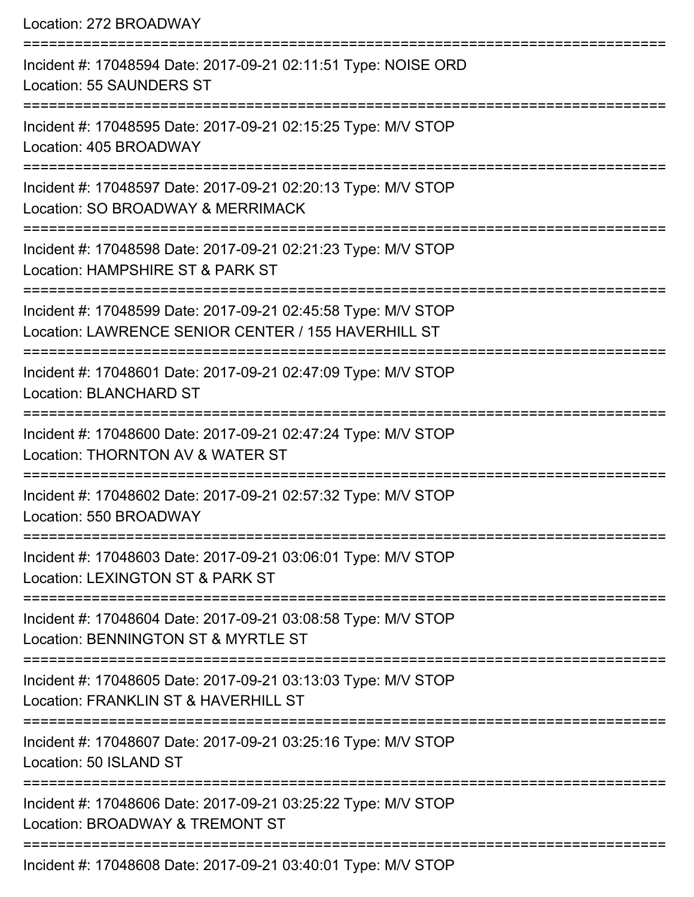| Location: 272 BROADWAY                                                                                                                         |
|------------------------------------------------------------------------------------------------------------------------------------------------|
| Incident #: 17048594 Date: 2017-09-21 02:11:51 Type: NOISE ORD<br><b>Location: 55 SAUNDERS ST</b><br>=========================                 |
| Incident #: 17048595 Date: 2017-09-21 02:15:25 Type: M/V STOP<br>Location: 405 BROADWAY                                                        |
| Incident #: 17048597 Date: 2017-09-21 02:20:13 Type: M/V STOP<br>Location: SO BROADWAY & MERRIMACK                                             |
| ===========================<br>Incident #: 17048598 Date: 2017-09-21 02:21:23 Type: M/V STOP<br>Location: HAMPSHIRE ST & PARK ST               |
| :=====================<br>Incident #: 17048599 Date: 2017-09-21 02:45:58 Type: M/V STOP<br>Location: LAWRENCE SENIOR CENTER / 155 HAVERHILL ST |
| :==================<br>Incident #: 17048601 Date: 2017-09-21 02:47:09 Type: M/V STOP<br><b>Location: BLANCHARD ST</b>                          |
| Incident #: 17048600 Date: 2017-09-21 02:47:24 Type: M/V STOP<br>Location: THORNTON AV & WATER ST                                              |
| Incident #: 17048602 Date: 2017-09-21 02:57:32 Type: M/V STOP<br>Location: 550 BROADWAY                                                        |
| Incident #: 17048603 Date: 2017-09-21 03:06:01 Type: M/V STOP<br>Location: LEXINGTON ST & PARK ST                                              |
| Incident #: 17048604 Date: 2017-09-21 03:08:58 Type: M/V STOP<br>Location: BENNINGTON ST & MYRTLE ST                                           |
| Incident #: 17048605 Date: 2017-09-21 03:13:03 Type: M/V STOP<br>Location: FRANKLIN ST & HAVERHILL ST                                          |
| Incident #: 17048607 Date: 2017-09-21 03:25:16 Type: M/V STOP<br>Location: 50 ISLAND ST                                                        |
| Incident #: 17048606 Date: 2017-09-21 03:25:22 Type: M/V STOP<br>Location: BROADWAY & TREMONT ST                                               |
|                                                                                                                                                |

Incident #: 17048608 Date: 2017-09-21 03:40:01 Type: M/V STOP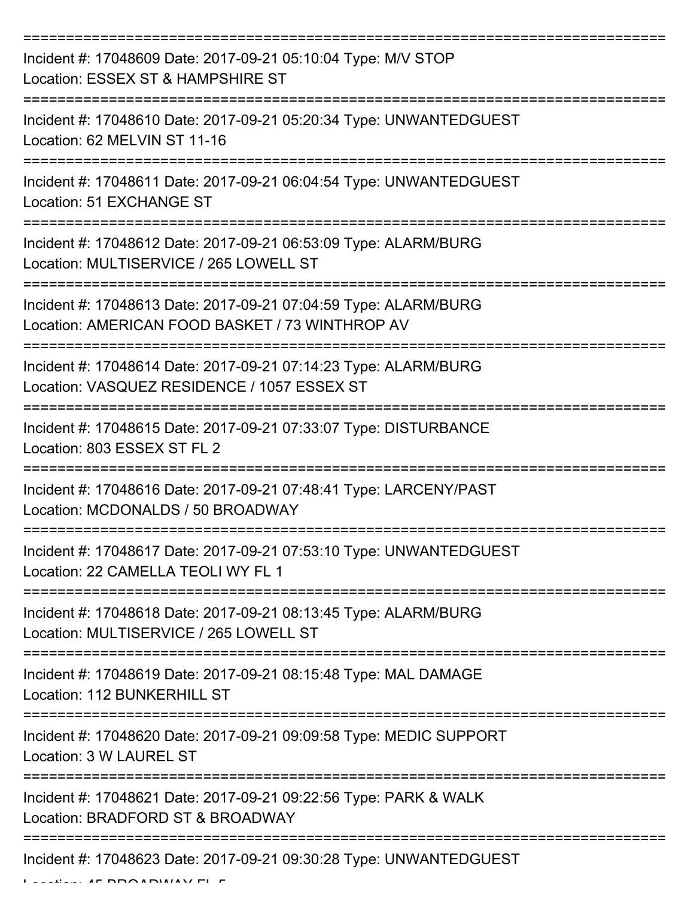| Incident #: 17048609 Date: 2017-09-21 05:10:04 Type: M/V STOP<br>Location: ESSEX ST & HAMPSHIRE ST                 |
|--------------------------------------------------------------------------------------------------------------------|
| Incident #: 17048610 Date: 2017-09-21 05:20:34 Type: UNWANTEDGUEST<br>Location: 62 MELVIN ST 11-16                 |
| Incident #: 17048611 Date: 2017-09-21 06:04:54 Type: UNWANTEDGUEST<br>Location: 51 EXCHANGE ST                     |
| Incident #: 17048612 Date: 2017-09-21 06:53:09 Type: ALARM/BURG<br>Location: MULTISERVICE / 265 LOWELL ST          |
| Incident #: 17048613 Date: 2017-09-21 07:04:59 Type: ALARM/BURG<br>Location: AMERICAN FOOD BASKET / 73 WINTHROP AV |
| Incident #: 17048614 Date: 2017-09-21 07:14:23 Type: ALARM/BURG<br>Location: VASQUEZ RESIDENCE / 1057 ESSEX ST     |
| Incident #: 17048615 Date: 2017-09-21 07:33:07 Type: DISTURBANCE<br>Location: 803 ESSEX ST FL 2                    |
| Incident #: 17048616 Date: 2017-09-21 07:48:41 Type: LARCENY/PAST<br>Location: MCDONALDS / 50 BROADWAY             |
| Incident #: 17048617 Date: 2017-09-21 07:53:10 Type: UNWANTEDGUEST<br>Location: 22 CAMELLA TEOLI WY FL 1           |
| Incident #: 17048618 Date: 2017-09-21 08:13:45 Type: ALARM/BURG<br>Location: MULTISERVICE / 265 LOWELL ST          |
| Incident #: 17048619 Date: 2017-09-21 08:15:48 Type: MAL DAMAGE<br>Location: 112 BUNKERHILL ST                     |
| Incident #: 17048620 Date: 2017-09-21 09:09:58 Type: MEDIC SUPPORT<br>Location: 3 W LAUREL ST                      |
| Incident #: 17048621 Date: 2017-09-21 09:22:56 Type: PARK & WALK<br>Location: BRADFORD ST & BROADWAY               |
| Incident #: 17048623 Date: 2017-09-21 09:30:28 Type: UNWANTEDGUEST                                                 |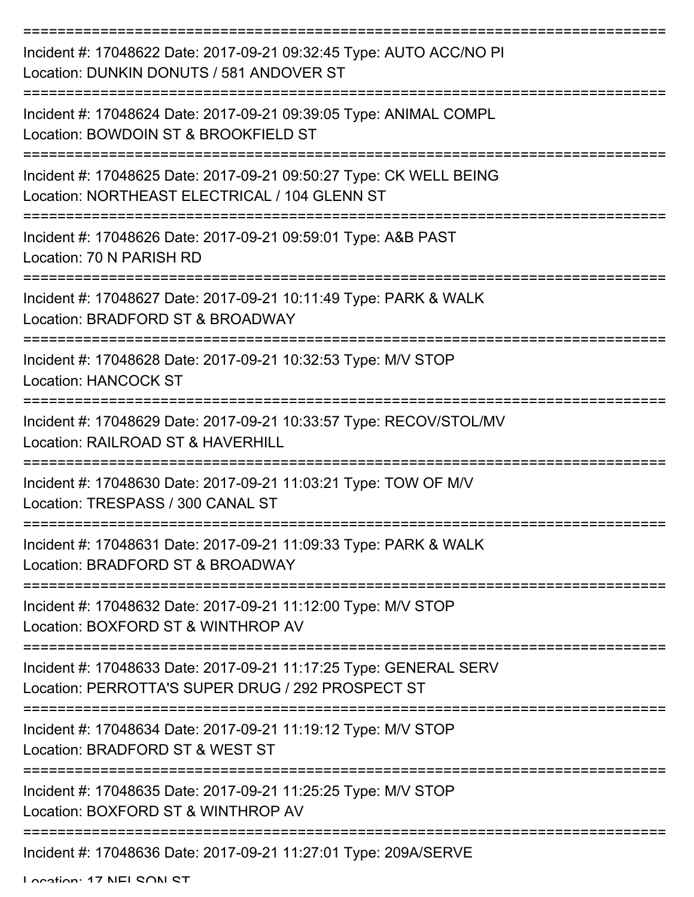| Incident #: 17048622 Date: 2017-09-21 09:32:45 Type: AUTO ACC/NO PI<br>Location: DUNKIN DONUTS / 581 ANDOVER ST        |
|------------------------------------------------------------------------------------------------------------------------|
| Incident #: 17048624 Date: 2017-09-21 09:39:05 Type: ANIMAL COMPL<br>Location: BOWDOIN ST & BROOKFIELD ST              |
| Incident #: 17048625 Date: 2017-09-21 09:50:27 Type: CK WELL BEING<br>Location: NORTHEAST ELECTRICAL / 104 GLENN ST    |
| Incident #: 17048626 Date: 2017-09-21 09:59:01 Type: A&B PAST<br>Location: 70 N PARISH RD                              |
| Incident #: 17048627 Date: 2017-09-21 10:11:49 Type: PARK & WALK<br>Location: BRADFORD ST & BROADWAY                   |
| Incident #: 17048628 Date: 2017-09-21 10:32:53 Type: M/V STOP<br><b>Location: HANCOCK ST</b>                           |
| Incident #: 17048629 Date: 2017-09-21 10:33:57 Type: RECOV/STOL/MV<br>Location: RAILROAD ST & HAVERHILL                |
| Incident #: 17048630 Date: 2017-09-21 11:03:21 Type: TOW OF M/V<br>Location: TRESPASS / 300 CANAL ST                   |
| Incident #: 17048631 Date: 2017-09-21 11:09:33 Type: PARK & WALK<br>Location: BRADFORD ST & BROADWAY                   |
| Incident #: 17048632 Date: 2017-09-21 11:12:00 Type: M/V STOP<br>Location: BOXFORD ST & WINTHROP AV                    |
| Incident #: 17048633 Date: 2017-09-21 11:17:25 Type: GENERAL SERV<br>Location: PERROTTA'S SUPER DRUG / 292 PROSPECT ST |
| Incident #: 17048634 Date: 2017-09-21 11:19:12 Type: M/V STOP<br>Location: BRADFORD ST & WEST ST                       |
| Incident #: 17048635 Date: 2017-09-21 11:25:25 Type: M/V STOP<br>Location: BOXFORD ST & WINTHROP AV                    |
| Incident #: 17048636 Date: 2017-09-21 11:27:01 Type: 209A/SERVE                                                        |

Location: 17 NEL CON CT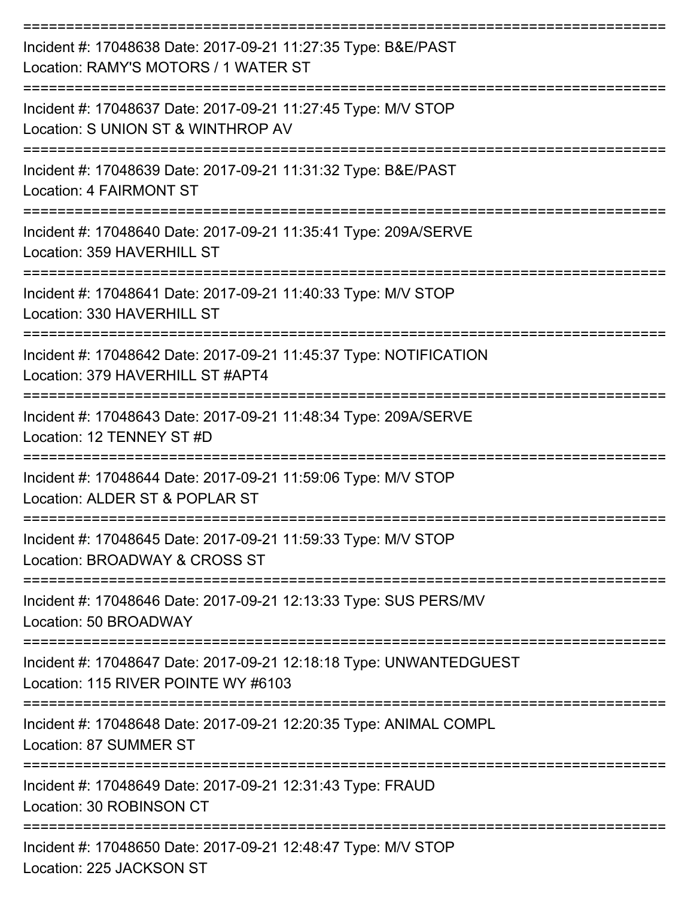| Incident #: 17048638 Date: 2017-09-21 11:27:35 Type: B&E/PAST<br>Location: RAMY'S MOTORS / 1 WATER ST     |
|-----------------------------------------------------------------------------------------------------------|
| Incident #: 17048637 Date: 2017-09-21 11:27:45 Type: M/V STOP<br>Location: S UNION ST & WINTHROP AV       |
| Incident #: 17048639 Date: 2017-09-21 11:31:32 Type: B&E/PAST<br><b>Location: 4 FAIRMONT ST</b>           |
| Incident #: 17048640 Date: 2017-09-21 11:35:41 Type: 209A/SERVE<br>Location: 359 HAVERHILL ST             |
| Incident #: 17048641 Date: 2017-09-21 11:40:33 Type: M/V STOP<br>Location: 330 HAVERHILL ST               |
| Incident #: 17048642 Date: 2017-09-21 11:45:37 Type: NOTIFICATION<br>Location: 379 HAVERHILL ST #APT4     |
| Incident #: 17048643 Date: 2017-09-21 11:48:34 Type: 209A/SERVE<br>Location: 12 TENNEY ST #D              |
| Incident #: 17048644 Date: 2017-09-21 11:59:06 Type: M/V STOP<br>Location: ALDER ST & POPLAR ST           |
| Incident #: 17048645 Date: 2017-09-21 11:59:33 Type: M/V STOP<br>Location: BROADWAY & CROSS ST            |
| Incident #: 17048646 Date: 2017-09-21 12:13:33 Type: SUS PERS/MV<br>Location: 50 BROADWAY                 |
| Incident #: 17048647 Date: 2017-09-21 12:18:18 Type: UNWANTEDGUEST<br>Location: 115 RIVER POINTE WY #6103 |
| Incident #: 17048648 Date: 2017-09-21 12:20:35 Type: ANIMAL COMPL<br>Location: 87 SUMMER ST               |
| Incident #: 17048649 Date: 2017-09-21 12:31:43 Type: FRAUD<br>Location: 30 ROBINSON CT                    |
| Incident #: 17048650 Date: 2017-09-21 12:48:47 Type: M/V STOP<br>Location: 225 JACKSON ST                 |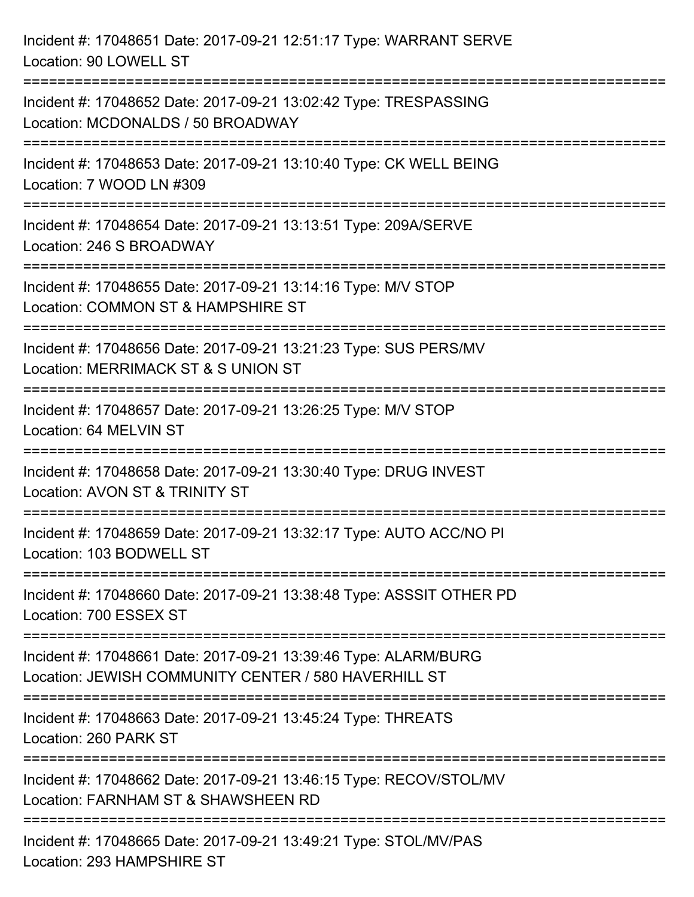| Incident #: 17048651 Date: 2017-09-21 12:51:17 Type: WARRANT SERVE<br>Location: 90 LOWELL ST                                                                       |
|--------------------------------------------------------------------------------------------------------------------------------------------------------------------|
| Incident #: 17048652 Date: 2017-09-21 13:02:42 Type: TRESPASSING<br>Location: MCDONALDS / 50 BROADWAY                                                              |
| Incident #: 17048653 Date: 2017-09-21 13:10:40 Type: CK WELL BEING<br>Location: 7 WOOD LN #309<br>:==================================                              |
| Incident #: 17048654 Date: 2017-09-21 13:13:51 Type: 209A/SERVE<br>Location: 246 S BROADWAY                                                                        |
| Incident #: 17048655 Date: 2017-09-21 13:14:16 Type: M/V STOP<br>Location: COMMON ST & HAMPSHIRE ST<br>:==============================                             |
| Incident #: 17048656 Date: 2017-09-21 13:21:23 Type: SUS PERS/MV<br>Location: MERRIMACK ST & S UNION ST<br>:========================                               |
| Incident #: 17048657 Date: 2017-09-21 13:26:25 Type: M/V STOP<br>Location: 64 MELVIN ST<br>:==================================<br>-------------------------------- |
| Incident #: 17048658 Date: 2017-09-21 13:30:40 Type: DRUG INVEST<br>Location: AVON ST & TRINITY ST                                                                 |
| Incident #: 17048659 Date: 2017-09-21 13:32:17 Type: AUTO ACC/NO PI<br>Location: 103 BODWELL ST                                                                    |
| Incident #: 17048660 Date: 2017-09-21 13:38:48 Type: ASSSIT OTHER PD<br>Location: 700 ESSEX ST                                                                     |
| Incident #: 17048661 Date: 2017-09-21 13:39:46 Type: ALARM/BURG<br>Location: JEWISH COMMUNITY CENTER / 580 HAVERHILL ST                                            |
| :==========================<br>Incident #: 17048663 Date: 2017-09-21 13:45:24 Type: THREATS<br>Location: 260 PARK ST                                               |
| Incident #: 17048662 Date: 2017-09-21 13:46:15 Type: RECOV/STOL/MV<br>Location: FARNHAM ST & SHAWSHEEN RD                                                          |
| Incident #: 17048665 Date: 2017-09-21 13:49:21 Type: STOL/MV/PAS<br>Location: 293 HAMPSHIRE ST                                                                     |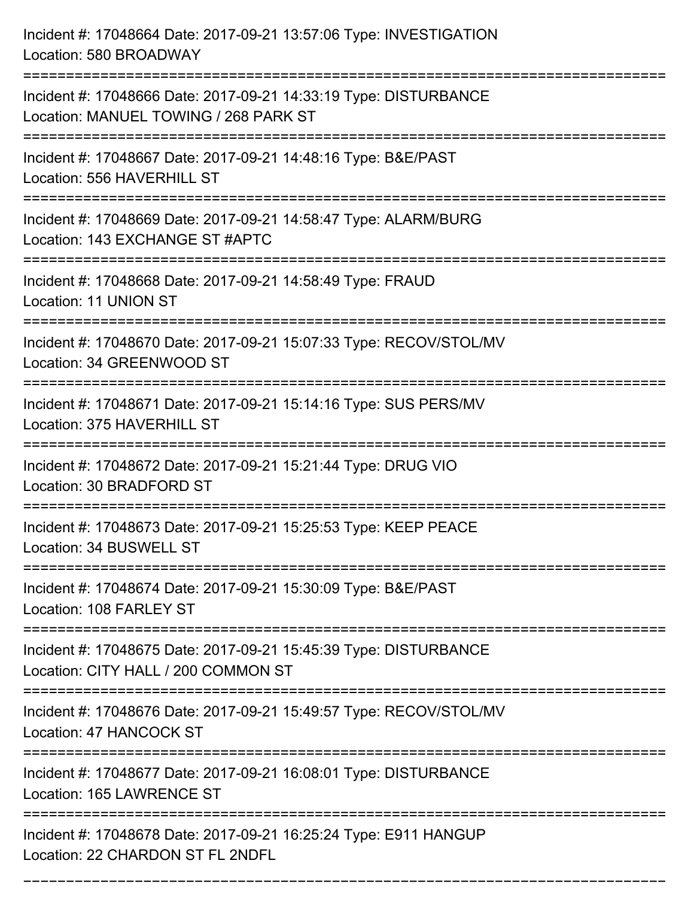| Incident #: 17048664 Date: 2017-09-21 13:57:06 Type: INVESTIGATION<br>Location: 580 BROADWAY                                 |
|------------------------------------------------------------------------------------------------------------------------------|
| Incident #: 17048666 Date: 2017-09-21 14:33:19 Type: DISTURBANCE<br>Location: MANUEL TOWING / 268 PARK ST                    |
| Incident #: 17048667 Date: 2017-09-21 14:48:16 Type: B&E/PAST<br>Location: 556 HAVERHILL ST<br>:============================ |
| Incident #: 17048669 Date: 2017-09-21 14:58:47 Type: ALARM/BURG<br>Location: 143 EXCHANGE ST #APTC                           |
| Incident #: 17048668 Date: 2017-09-21 14:58:49 Type: FRAUD<br>Location: 11 UNION ST                                          |
| Incident #: 17048670 Date: 2017-09-21 15:07:33 Type: RECOV/STOL/MV<br>Location: 34 GREENWOOD ST                              |
| Incident #: 17048671 Date: 2017-09-21 15:14:16 Type: SUS PERS/MV<br>Location: 375 HAVERHILL ST                               |
| Incident #: 17048672 Date: 2017-09-21 15:21:44 Type: DRUG VIO<br>Location: 30 BRADFORD ST                                    |
| Incident #: 17048673 Date: 2017-09-21 15:25:53 Type: KEEP PEACE<br>Location: 34 BUSWELL ST                                   |
| Incident #: 17048674 Date: 2017-09-21 15:30:09 Type: B&E/PAST<br>Location: 108 FARLEY ST                                     |
| Incident #: 17048675 Date: 2017-09-21 15:45:39 Type: DISTURBANCE<br>Location: CITY HALL / 200 COMMON ST                      |
| Incident #: 17048676 Date: 2017-09-21 15:49:57 Type: RECOV/STOL/MV<br>Location: 47 HANCOCK ST                                |
| Incident #: 17048677 Date: 2017-09-21 16:08:01 Type: DISTURBANCE<br>Location: 165 LAWRENCE ST                                |
| Incident #: 17048678 Date: 2017-09-21 16:25:24 Type: E911 HANGUP<br>Location: 22 CHARDON ST FL 2NDFL                         |

===========================================================================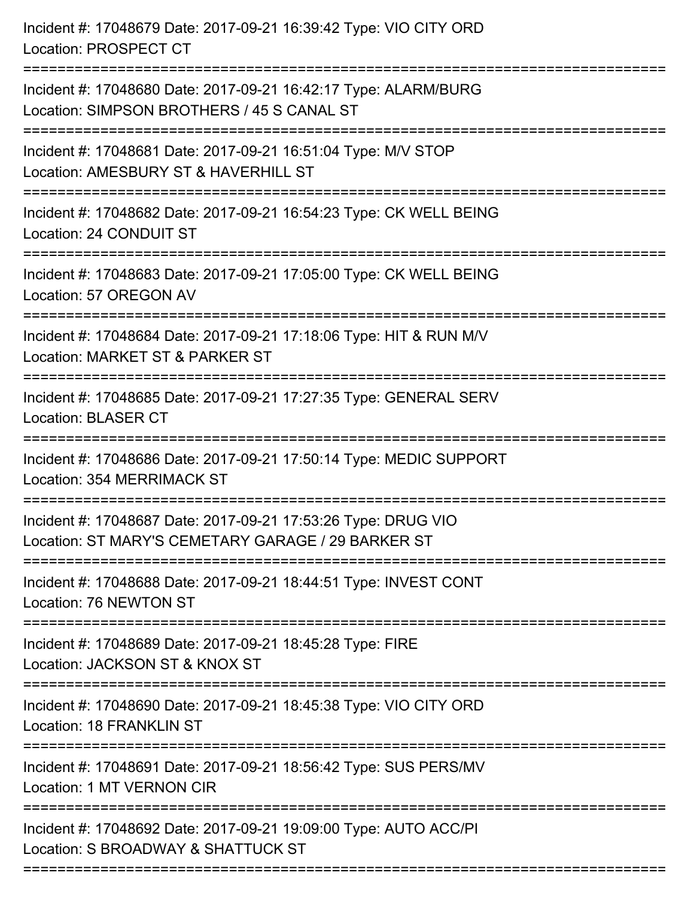| Incident #: 17048679 Date: 2017-09-21 16:39:42 Type: VIO CITY ORD<br>Location: PROSPECT CT                                      |
|---------------------------------------------------------------------------------------------------------------------------------|
| Incident #: 17048680 Date: 2017-09-21 16:42:17 Type: ALARM/BURG<br>Location: SIMPSON BROTHERS / 45 S CANAL ST                   |
| Incident #: 17048681 Date: 2017-09-21 16:51:04 Type: M/V STOP<br>Location: AMESBURY ST & HAVERHILL ST<br>====================== |
| Incident #: 17048682 Date: 2017-09-21 16:54:23 Type: CK WELL BEING<br>Location: 24 CONDUIT ST                                   |
| Incident #: 17048683 Date: 2017-09-21 17:05:00 Type: CK WELL BEING<br>Location: 57 OREGON AV                                    |
| Incident #: 17048684 Date: 2017-09-21 17:18:06 Type: HIT & RUN M/V<br>Location: MARKET ST & PARKER ST                           |
| Incident #: 17048685 Date: 2017-09-21 17:27:35 Type: GENERAL SERV<br><b>Location: BLASER CT</b>                                 |
| Incident #: 17048686 Date: 2017-09-21 17:50:14 Type: MEDIC SUPPORT<br>Location: 354 MERRIMACK ST                                |
| Incident #: 17048687 Date: 2017-09-21 17:53:26 Type: DRUG VIO<br>Location: ST MARY'S CEMETARY GARAGE / 29 BARKER ST             |
| Incident #: 17048688 Date: 2017-09-21 18:44:51 Type: INVEST CONT<br>Location: 76 NEWTON ST                                      |
| Incident #: 17048689 Date: 2017-09-21 18:45:28 Type: FIRE<br>Location: JACKSON ST & KNOX ST                                     |
| Incident #: 17048690 Date: 2017-09-21 18:45:38 Type: VIO CITY ORD<br><b>Location: 18 FRANKLIN ST</b>                            |
| Incident #: 17048691 Date: 2017-09-21 18:56:42 Type: SUS PERS/MV<br>Location: 1 MT VERNON CIR                                   |
| Incident #: 17048692 Date: 2017-09-21 19:09:00 Type: AUTO ACC/PI<br>Location: S BROADWAY & SHATTUCK ST                          |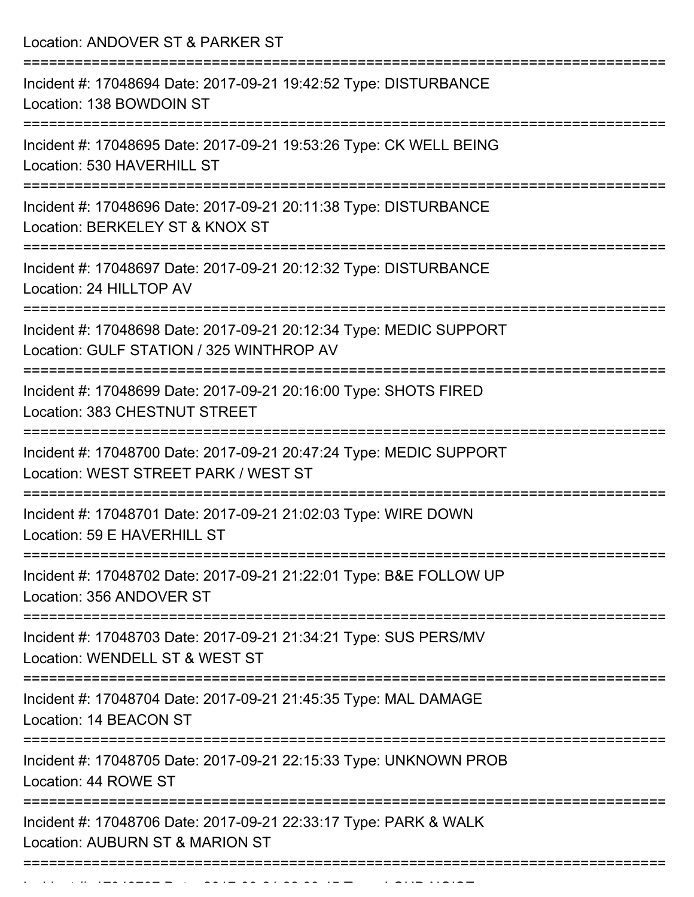Location: ANDOVER ST & PARKER ST =========================================================================== Incident #: 17048694 Date: 2017-09-21 19:42:52 Type: DISTURBANCE Location: 138 BOWDOIN ST =========================================================================== Incident #: 17048695 Date: 2017-09-21 19:53:26 Type: CK WELL BEING Location: 530 HAVERHILL ST =========================================================================== Incident #: 17048696 Date: 2017-09-21 20:11:38 Type: DISTURBANCE Location: BERKELEY ST & KNOX ST =========================================================================== Incident #: 17048697 Date: 2017-09-21 20:12:32 Type: DISTURBANCE Location: 24 HILLTOP AV =========================================================================== Incident #: 17048698 Date: 2017-09-21 20:12:34 Type: MEDIC SUPPORT Location: GULF STATION / 325 WINTHROP AV =========================================================================== Incident #: 17048699 Date: 2017-09-21 20:16:00 Type: SHOTS FIRED Location: 383 CHESTNUT STREET =========================================================================== Incident #: 17048700 Date: 2017-09-21 20:47:24 Type: MEDIC SUPPORT Location: WEST STREET PARK / WEST ST =========================================================================== Incident #: 17048701 Date: 2017-09-21 21:02:03 Type: WIRE DOWN Location: 59 E HAVERHILL ST =========================================================================== Incident #: 17048702 Date: 2017-09-21 21:22:01 Type: B&E FOLLOW UP Location: 356 ANDOVER ST =========================================================================== Incident #: 17048703 Date: 2017-09-21 21:34:21 Type: SUS PERS/MV Location: WENDELL ST & WEST ST =========================================================================== Incident #: 17048704 Date: 2017-09-21 21:45:35 Type: MAL DAMAGE Location: 14 BEACON ST =========================================================================== Incident #: 17048705 Date: 2017-09-21 22:15:33 Type: UNKNOWN PROB Location: 44 ROWE ST =========================================================================== Incident #: 17048706 Date: 2017-09-21 22:33:17 Type: PARK & WALK Location: AUBURN ST & MARION ST ===========================================================================

Incident #: 17048707 Date: 2017 09 21 22:39:45 Type: LOUD NOISE<br>.